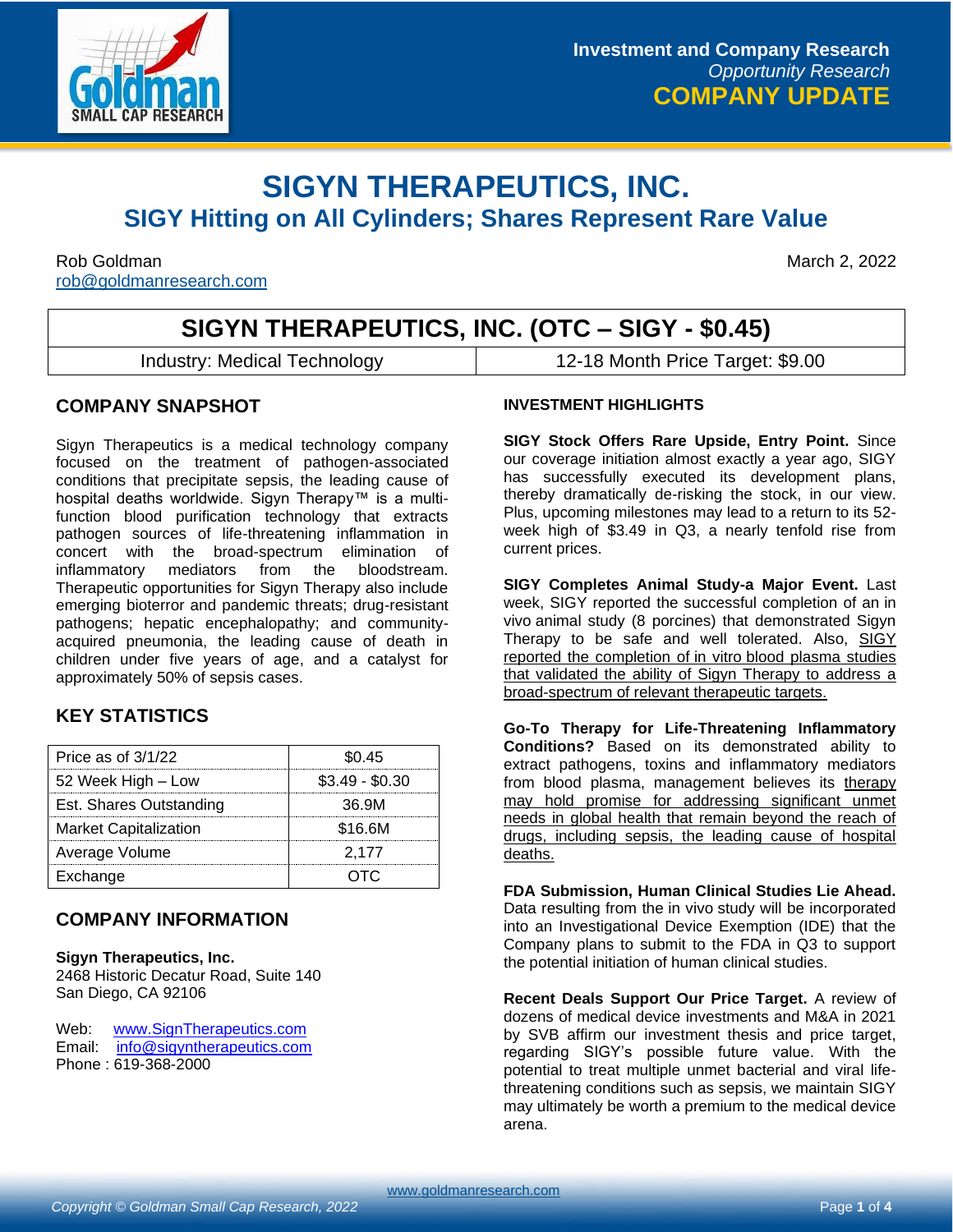

# **SIGYN THERAPEUTICS, INC. SIGY Hitting on All Cylinders; Shares Represent Rare Value**

Rob Goldman March 2, 2022 [rob@goldmanresearch.com](mailto:rob@goldmanresearch.com)

# **SIGYN THERAPEUTICS, INC. (OTC – SIGY - \$0.45)**

Industry: Medical Technology 12-18 Month Price Target: \$9.00

### **COMPANY SNAPSHOT**

Sigyn Therapeutics is a medical technology company focused on the treatment of pathogen-associated conditions that precipitate sepsis, the leading cause of hospital deaths worldwide. Sigyn Therapy™ is a multifunction blood purification technology that extracts pathogen sources of life-threatening inflammation in concert with the broad-spectrum elimination of inflammatory mediators from the bloodstream. Therapeutic opportunities for Sigyn Therapy also include emerging bioterror and pandemic threats; drug-resistant pathogens; hepatic encephalopathy; and communityacquired pneumonia, the leading cause of death in children under five years of age, and a catalyst for approximately 50% of sepsis cases.

### **KEY STATISTICS**

| Price as of $3/1/22$         | \$0.45          |
|------------------------------|-----------------|
| 52 Week High - Low           | $$3.49 - $0.30$ |
| Est. Shares Outstanding      | 36.9M           |
| <b>Market Capitalization</b> | \$16.6M         |
| Average Volume               | 2.177           |
| Exchange                     |                 |

### **COMPANY INFORMATION**

#### **Sigyn Therapeutics, Inc.**

2468 Historic Decatur Road, Suite 140 San Diego, CA 92106

Web: [www.SignTherapeutics.com](http://www.signtherapeutics.com/) Email: [info@sigyntherapeutics.com](mailto:info@sigyntherapeutics.com) Phone : 619-368-2000

### **INVESTMENT HIGHLIGHTS**

**SIGY Stock Offers Rare Upside, Entry Point.** Since our coverage initiation almost exactly a year ago, SIGY has successfully executed its development plans, thereby dramatically de-risking the stock, in our view. Plus, upcoming milestones may lead to a return to its 52 week high of \$3.49 in Q3, a nearly tenfold rise from current prices.

**SIGY Completes Animal Study-a Major Event.** Last week, SIGY reported the successful completion of an in vivo animal study (8 porcines) that demonstrated Sigyn Therapy to be safe and well tolerated. Also, SIGY reported the completion of in vitro blood plasma studies that validated the ability of Sigyn Therapy to address a broad-spectrum of relevant therapeutic targets.

**Go-To Therapy for Life-Threatening Inflammatory Conditions?** Based on its demonstrated ability to extract pathogens, toxins and inflammatory mediators from blood plasma, management believes its therapy may hold promise for addressing significant unmet needs in global health that remain beyond the reach of drugs, including sepsis, the leading cause of hospital deaths.

**FDA Submission, Human Clinical Studies Lie Ahead.**  Data resulting from the in vivo study will be incorporated into an Investigational Device Exemption (IDE) that the Company plans to submit to the FDA in Q3 to support the potential initiation of human clinical studies.

**Recent Deals Support Our Price Target.** A review of dozens of medical device investments and M&A in 2021 by SVB affirm our investment thesis and price target, regarding SIGY's possible future value. With the potential to treat multiple unmet bacterial and viral lifethreatening conditions such as sepsis, we maintain SIGY may ultimately be worth a premium to the medical device arena.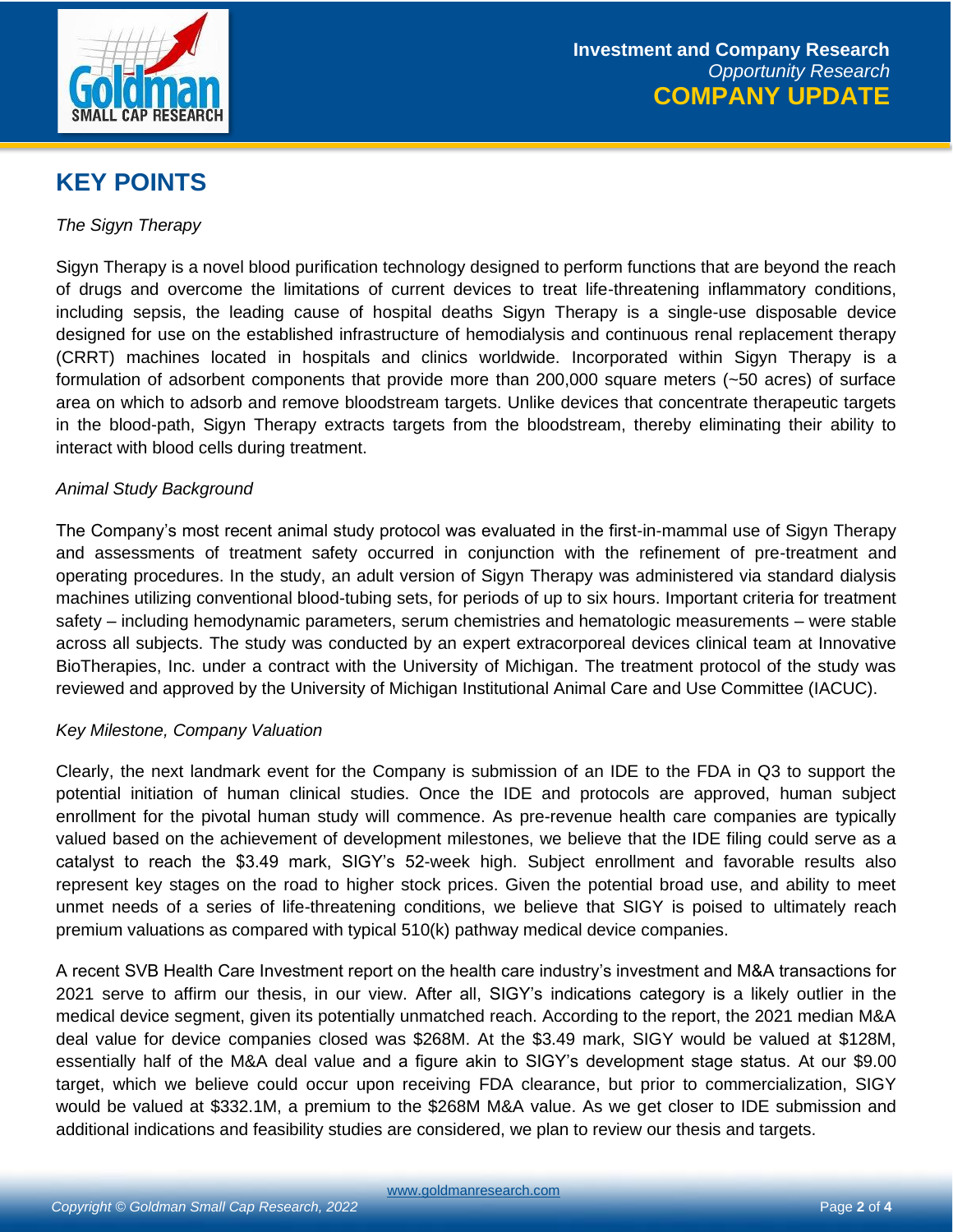

## **KEY POINTS**

*The Sigyn Therapy*

Sigyn Therapy is a novel blood purification technology designed to perform functions that are beyond the reach of drugs and overcome the limitations of current devices to treat life-threatening inflammatory conditions, including sepsis, the leading cause of hospital deaths Sigyn Therapy is a single-use disposable device designed for use on the established infrastructure of hemodialysis and continuous renal replacement therapy (CRRT) machines located in hospitals and clinics worldwide. Incorporated within Sigyn Therapy is a formulation of adsorbent components that provide more than 200,000 square meters (~50 acres) of surface area on which to adsorb and remove bloodstream targets. Unlike devices that concentrate therapeutic targets in the blood-path, Sigyn Therapy extracts targets from the bloodstream, thereby eliminating their ability to interact with blood cells during treatment.

### *Animal Study Background*

The Company's most recent animal study protocol was evaluated in the first-in-mammal use of Sigyn Therapy and assessments of treatment safety occurred in conjunction with the refinement of pre-treatment and operating procedures. In the study, an adult version of Sigyn Therapy was administered via standard dialysis machines utilizing conventional blood-tubing sets, for periods of up to six hours. Important criteria for treatment safety – including hemodynamic parameters, serum chemistries and hematologic measurements – were stable across all subjects. The study was conducted by an expert extracorporeal devices clinical team at Innovative BioTherapies, Inc. under a contract with the University of Michigan. The treatment protocol of the study was reviewed and approved by the University of Michigan Institutional Animal Care and Use Committee (IACUC).

### *Key Milestone, Company Valuation*

Clearly, the next landmark event for the Company is submission of an IDE to the FDA in Q3 to support the potential initiation of human clinical studies. Once the IDE and protocols are approved, human subject enrollment for the pivotal human study will commence. As pre-revenue health care companies are typically valued based on the achievement of development milestones, we believe that the IDE filing could serve as a catalyst to reach the \$3.49 mark, SIGY's 52-week high. Subject enrollment and favorable results also represent key stages on the road to higher stock prices. Given the potential broad use, and ability to meet unmet needs of a series of life-threatening conditions, we believe that SIGY is poised to ultimately reach premium valuations as compared with typical 510(k) pathway medical device companies.

A recent SVB Health Care Investment report on the health care industry's investment and M&A transactions for 2021 serve to affirm our thesis, in our view. After all, SIGY's indications category is a likely outlier in the medical device segment, given its potentially unmatched reach. According to the report, the 2021 median M&A deal value for device companies closed was \$268M. At the \$3.49 mark, SIGY would be valued at \$128M, essentially half of the M&A deal value and a figure akin to SIGY's development stage status. At our \$9.00 target, which we believe could occur upon receiving FDA clearance, but prior to commercialization, SIGY would be valued at \$332.1M, a premium to the \$268M M&A value. As we get closer to IDE submission and additional indications and feasibility studies are considered, we plan to review our thesis and targets.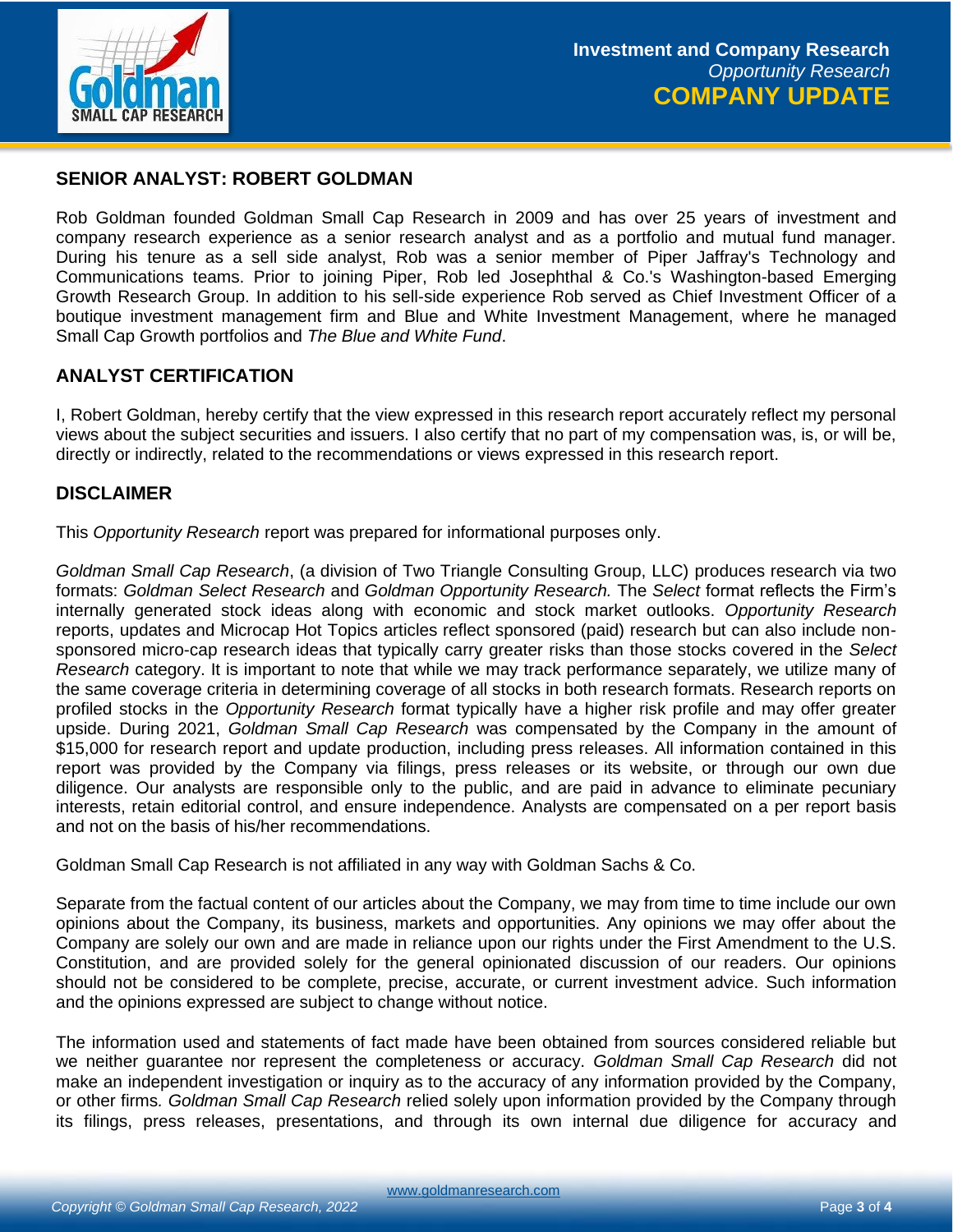

## **SENIOR ANALYST: ROBERT GOLDMAN**

Rob Goldman founded Goldman Small Cap Research in 2009 and has over 25 years of investment and company research experience as a senior research analyst and as a portfolio and mutual fund manager. During his tenure as a sell side analyst, Rob was a senior member of Piper Jaffray's Technology and Communications teams. Prior to joining Piper, Rob led Josephthal & Co.'s Washington-based Emerging Growth Research Group. In addition to his sell-side experience Rob served as Chief Investment Officer of a boutique investment management firm and Blue and White Investment Management, where he managed Small Cap Growth portfolios and *The Blue and White Fund*.

### **ANALYST CERTIFICATION**

I, Robert Goldman, hereby certify that the view expressed in this research report accurately reflect my personal views about the subject securities and issuers. I also certify that no part of my compensation was, is, or will be, directly or indirectly, related to the recommendations or views expressed in this research report.

### **DISCLAIMER**

This *Opportunity Research* report was prepared for informational purposes only.

*Goldman Small Cap Research*, (a division of Two Triangle Consulting Group, LLC) produces research via two formats: *Goldman Select Research* and *Goldman Opportunity Research.* The *Select* format reflects the Firm's internally generated stock ideas along with economic and stock market outlooks. *Opportunity Research* reports, updates and Microcap Hot Topics articles reflect sponsored (paid) research but can also include nonsponsored micro-cap research ideas that typically carry greater risks than those stocks covered in the *Select Research* category. It is important to note that while we may track performance separately, we utilize many of the same coverage criteria in determining coverage of all stocks in both research formats. Research reports on profiled stocks in the *Opportunity Research* format typically have a higher risk profile and may offer greater upside. During 2021, *Goldman Small Cap Research* was compensated by the Company in the amount of \$15,000 for research report and update production, including press releases. All information contained in this report was provided by the Company via filings, press releases or its website, or through our own due diligence. Our analysts are responsible only to the public, and are paid in advance to eliminate pecuniary interests, retain editorial control, and ensure independence. Analysts are compensated on a per report basis and not on the basis of his/her recommendations.

Goldman Small Cap Research is not affiliated in any way with Goldman Sachs & Co.

Separate from the factual content of our articles about the Company, we may from time to time include our own opinions about the Company, its business, markets and opportunities. Any opinions we may offer about the Company are solely our own and are made in reliance upon our rights under the First Amendment to the U.S. Constitution, and are provided solely for the general opinionated discussion of our readers. Our opinions should not be considered to be complete, precise, accurate, or current investment advice. Such information and the opinions expressed are subject to change without notice.

The information used and statements of fact made have been obtained from sources considered reliable but we neither guarantee nor represent the completeness or accuracy. *Goldman Small Cap Research* did not make an independent investigation or inquiry as to the accuracy of any information provided by the Company, or other firms*. Goldman Small Cap Research* relied solely upon information provided by the Company through its filings, press releases, presentations, and through its own internal due diligence for accuracy and